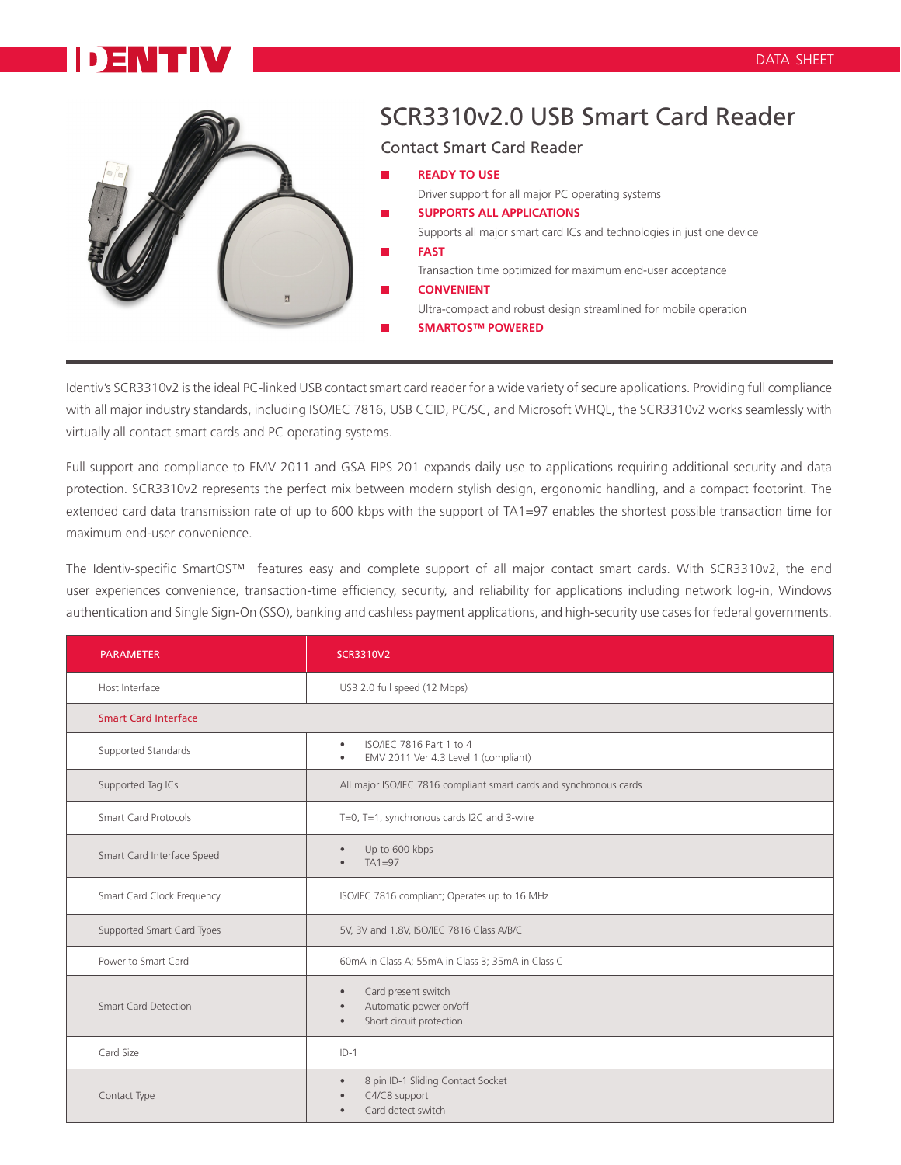## D ENITH



## SCR3310v2.0 USB Smart Card Reader

Contact Smart Card Reader

**READY TO USE** Driver support for all major PC operating systems **SUPPORTS ALL APPLICATIONS** Supports all major smart card ICs and technologies in just one device **FAST** Transaction time optimized for maximum end-user acceptance **CONVENIENT** Ultra-compact and robust design streamlined for mobile operation

**SMARTOS™ POWERED**

Identiv's SCR3310v2 is the ideal PC-linked USB contact smart card reader for a wide variety of secure applications. Providing full compliance with all major industry standards, including ISO/IEC 7816, USB CCID, PC/SC, and Microsoft WHQL, the SCR3310v2 works seamlessly with virtually all contact smart cards and PC operating systems.

Full support and compliance to EMV 2011 and GSA FIPS 201 expands daily use to applications requiring additional security and data protection. SCR3310v2 represents the perfect mix between modern stylish design, ergonomic handling, and a compact footprint. The extended card data transmission rate of up to 600 kbps with the support of TA1=97 enables the shortest possible transaction time for maximum end-user convenience.

The Identiv-specific SmartOS™ features easy and complete support of all major contact smart cards. With SCR3310v2, the end user experiences convenience, transaction-time efficiency, security, and reliability for applications including network log-in, Windows authentication and Single Sign-On (SSO), banking and cashless payment applications, and high-security use cases for federal governments.

| <b>PARAMETER</b>            | <b>SCR3310V2</b>                                                                                                 |
|-----------------------------|------------------------------------------------------------------------------------------------------------------|
| Host Interface              | USB 2.0 full speed (12 Mbps)                                                                                     |
| <b>Smart Card Interface</b> |                                                                                                                  |
| Supported Standards         | ISO/IEC 7816 Part 1 to 4<br>$\bullet$<br>EMV 2011 Ver 4.3 Level 1 (compliant)<br>٠                               |
| Supported Tag ICs           | All major ISO/IEC 7816 compliant smart cards and synchronous cards                                               |
| <b>Smart Card Protocols</b> | T=0, T=1, synchronous cards I2C and 3-wire                                                                       |
| Smart Card Interface Speed  | Up to 600 kbps<br>$\bullet$<br>$TA1=97$                                                                          |
| Smart Card Clock Frequency  | ISO/IEC 7816 compliant; Operates up to 16 MHz                                                                    |
| Supported Smart Card Types  | 5V, 3V and 1.8V, ISO/IEC 7816 Class A/B/C                                                                        |
| Power to Smart Card         | 60mA in Class A; 55mA in Class B; 35mA in Class C                                                                |
| <b>Smart Card Detection</b> | Card present switch<br>$\bullet$<br>Automatic power on/off<br>$\bullet$<br>Short circuit protection<br>$\bullet$ |
| Card Size                   | $ID-1$                                                                                                           |
| Contact Type                | 8 pin ID-1 Sliding Contact Socket<br>$\bullet$<br>C4/C8 support<br>Card detect switch<br>$\bullet$               |